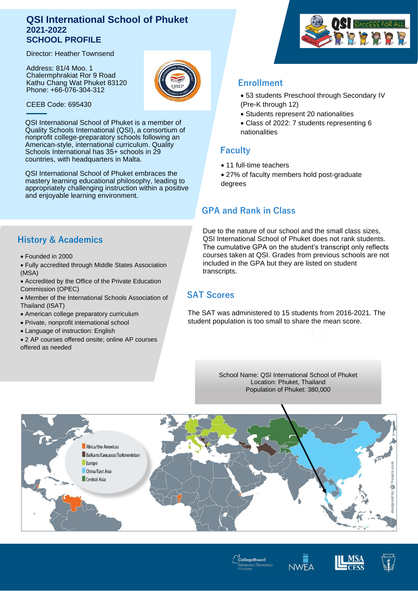## **QSI International School of Phuket 2021-2022 SCHOOL PROFILE**

Director: Heather Townsend

Address: 81/4 Moo. 1 Chalermphrakiat Ror 9 Road Kathu Chang Wat Phuket 83120 Phone: +66-076-304-312



CEEB Code: 695430

QSI International School of Phuket is a member of Quality Schools International (QSI), a consortium of nonprofit college-preparatory schools following an American-style, international curriculum. Quality Schools International has 35+ schools in 29 countries, with headquarters in Malta.

QSI International School of Phuket embraces the mastery learning educational philosophy, leading to appropriately challenging instruction within a positive and enjoyable learning environment.

# **History & Academics**

- Founded in 2000
- Fully accredited through Middle States Association (MSA)
- Accredited by the Office of the Private Education Commission (OPEC)
- Member of the International Schools Association of Thailand (ISAT)
- American college preparatory curriculum
- Private, nonprofit international school
- Language of instruction: English
- 2 AP courses offered onsite; online AP courses offered as needed

# SUCCESS FOR ALL

# **Enrollment**

- 53 students Preschool through Secondary IV (Pre-K through 12)
- Students represent 20 nationalities
- Class of 2022: 7 students representing 6 nationalities

## **Faculty**

- 11 full-time teachers
- 27% of faculty members hold post-graduate degrees

# **GPA and Rank in Class**

Due to the nature of our school and the small class sizes, QSI International School of Phuket does not rank students. The cumulative GPA on the student's transcript only reflects courses taken at QSI. Grades from previous schools are not included in the GPA but they are listed on student transcripts.

# **SAT Scores**

The SAT was administered to 15 students from 2016-2021. The student population is too small to share the mean score.

> School Name: QSI International School of Phuket Location: Phuket, Thailand Population of Phuket: 380,000